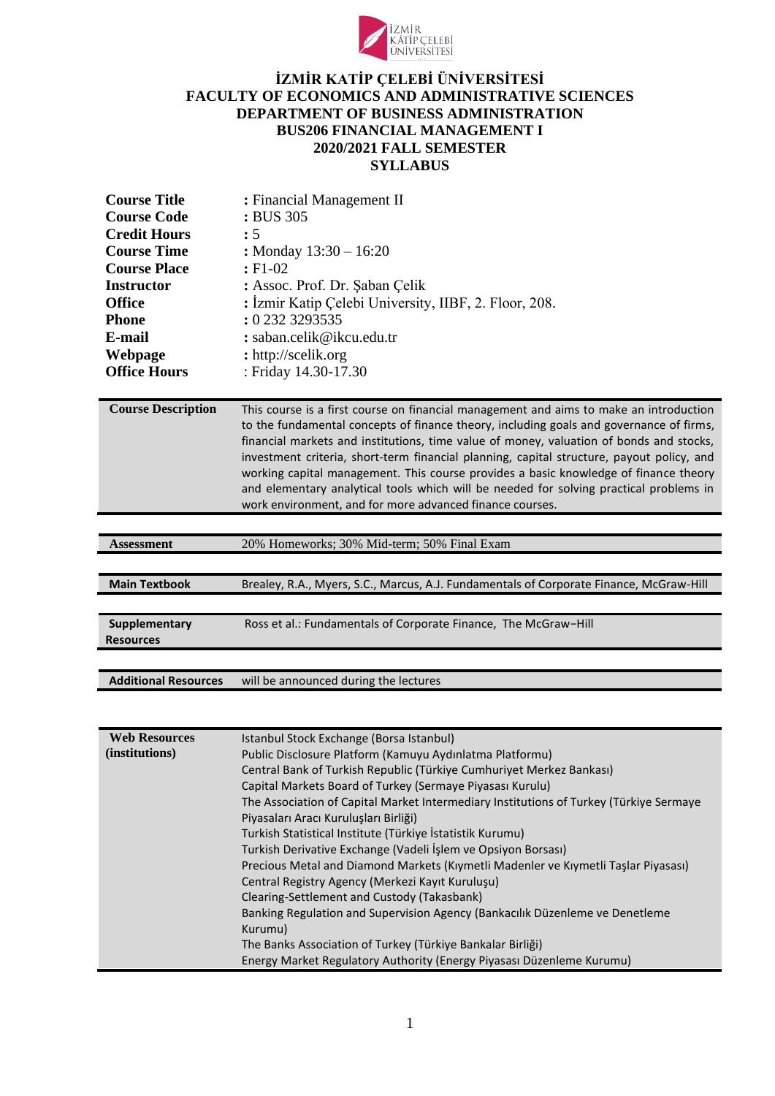

## **İZMİR KATİP ÇELEBİ ÜNİVERSİTESİ FACULTY OF ECONOMICS AND ADMINISTRATIVE SCIENCES DEPARTMENT OF BUSINESS ADMINISTRATION BUS206 FINANCIAL MANAGEMENT I 2020/2021 FALL SEMESTER SYLLABUS**

| <b>Course Title</b> | : Financial Management II                             |
|---------------------|-------------------------------------------------------|
| <b>Course Code</b>  | : BUS 305                                             |
| <b>Credit Hours</b> | : 5                                                   |
| <b>Course Time</b>  | : Monday $13:30 - 16:20$                              |
| <b>Course Place</b> | $E1-02$                                               |
| <b>Instructor</b>   | : Assoc. Prof. Dr. Şaban Çelik                        |
| <b>Office</b>       | : İzmir Katip Çelebi University, IIBF, 2. Floor, 208. |
| <b>Phone</b>        | : 0 232 3293535                                       |
| E-mail              | : saban.celik@ikcu.edu.tr                             |
| Webpage             | : http://scelik.org                                   |
| <b>Office Hours</b> | : Friday 14.30-17.30                                  |

**Course Description** This course is a first course on financial management and aims to make an introduction to the fundamental concepts of finance theory, including goals and governance of firms, financial markets and institutions, time value of money, valuation of bonds and stocks, investment criteria, short-term financial planning, capital structure, payout policy, and working capital management. This course provides a basic knowledge of finance theory and elementary analytical tools which will be needed for solving practical problems in work environment, and for more advanced finance courses.

| 20% Homeworks; 30% Mid-term; 50% Final Exam<br><b>Assessment</b> |
|------------------------------------------------------------------|
|------------------------------------------------------------------|

| <b>Main Textbook</b>              | Brealey, R.A., Myers, S.C., Marcus, A.J. Fundamentals of Corporate Finance, McGraw-Hill |
|-----------------------------------|-----------------------------------------------------------------------------------------|
|                                   |                                                                                         |
| Supplementary<br><b>Resources</b> | Ross et al.: Fundamentals of Corporate Finance, The McGraw-Hill                         |

**Additional Resources** will be announced during the lectures

| <b>Web Resources</b> | Istanbul Stock Exchange (Borsa Istanbul)                                               |
|----------------------|----------------------------------------------------------------------------------------|
| (institutions)       | Public Disclosure Platform (Kamuyu Aydınlatma Platformu)                               |
|                      | Central Bank of Turkish Republic (Türkiye Cumhuriyet Merkez Bankası)                   |
|                      | Capital Markets Board of Turkey (Sermaye Piyasası Kurulu)                              |
|                      | The Association of Capital Market Intermediary Institutions of Turkey (Türkiye Sermaye |
|                      | Piyasaları Aracı Kuruluşları Birliği)                                                  |
|                      | Turkish Statistical Institute (Türkiye İstatistik Kurumu)                              |
|                      | Turkish Derivative Exchange (Vadeli İşlem ve Opsiyon Borsası)                          |
|                      | Precious Metal and Diamond Markets (Kıymetli Madenler ve Kıymetli Taşlar Piyasası)     |
|                      | Central Registry Agency (Merkezi Kayıt Kuruluşu)                                       |
|                      | Clearing-Settlement and Custody (Takasbank)                                            |
|                      | Banking Regulation and Supervision Agency (Bankacilik Düzenleme ve Denetleme           |
|                      | Kurumu)                                                                                |
|                      | The Banks Association of Turkey (Türkiye Bankalar Birliği)                             |
|                      | Energy Market Regulatory Authority (Energy Piyasası Düzenleme Kurumu)                  |